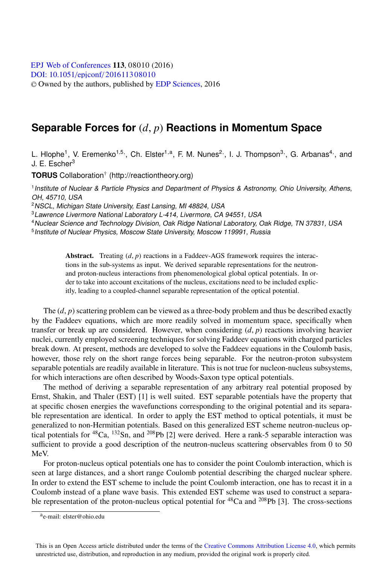## **Separable Forces for** (*d*, *p*) **Reactions in Momentum Space**

L. Hlophe<sup>1</sup>, V. Eremenko<sup>1,5,</sup>, Ch. Elster<sup>1,a</sup>, F. M. Nunes<sup>2,</sup>, I. J. Thompson<sup>3,</sup>, G. Arbanas<sup>4,</sup>, and J. E. Escher<sup>3</sup>

**TORUS** Collaboration† (http://reactiontheory.org)

<sup>1</sup> Institute of Nuclear & Particle Physics and Department of Physics & Astronomy, Ohio University, Athens, OH, 45710, USA

<sup>2</sup>NSCL, Michigan State University, East Lansing, MI 48824, USA

<sup>3</sup>Lawrence Livermore National Laboratory L-414, Livermore, CA 94551, USA

<sup>4</sup>Nuclear Science and Technology Division, Oak Ridge National Laboratory, Oak Ridge, TN 37831, USA

<sup>5</sup> Institute of Nuclear Physics, Moscow State University, Moscow 119991, Russia

Abstract. Treating  $(d, p)$  reactions in a Faddeev-AGS framework requires the interactions in the sub-systems as input. We derived separable representations for the neutronand proton-nucleus interactions from phenomenological global optical potentials. In order to take into account excitations of the nucleus, excitations need to be included explicitly, leading to a coupled-channel separable representation of the optical potential.

The  $(d, p)$  scattering problem can be viewed as a three-body problem and thus be described exactly by the Faddeev equations, which are more readily solved in momentum space, specifically when transfer or break up are considered. However, when considering (*d*, *p*) reactions involving heavier nuclei, currently employed screening techniques for solving Faddeev equations with charged particles break down. At present, methods are developed to solve the Faddeev equations in the Coulomb basis, however, those rely on the short range forces being separable. For the neutron-proton subsystem separable potentials are readily available in literature. This is not true for nucleon-nucleus subsystems, for which interactions are often described by Woods-Saxon type optical potentials.

The method of deriving a separable representation of any arbitrary real potential proposed by Ernst, Shakin, and Thaler (EST) [1] is well suited. EST separable potentials have the property that at specific chosen energies the wavefunctions corresponding to the original potential and its separable representation are identical. In order to apply the EST method to optical potentials, it must be generalized to non-Hermitian potentials. Based on this generalized EST scheme neutron-nucleus optical potentials for  ${}^{48}Ca$ ,  ${}^{132}Sn$ , and  ${}^{208}Pb$  [2] were derived. Here a rank-5 separable interaction was sufficient to provide a good description of the neutron-nucleus scattering observables from 0 to 50 MeV.

For proton-nucleus optical potentials one has to consider the point Coulomb interaction, which is seen at large distances, and a short range Coulomb potential describing the charged nuclear sphere. In order to extend the EST scheme to include the point Coulomb interaction, one has to recast it in a Coulomb instead of a plane wave basis. This extended EST scheme was used to construct a separable representation of the proton-nucleus optical potential for  ${}^{48}Ca$  and  ${}^{208}Pb$  [3]. The cross-sections

ae-mail: elster@ohio.edu

This is an Open Access article distributed under the terms of the Creative Commons Attribution License 4.0, which permits unrestricted use, distribution, and reproduction in any medium, provided the original work is properly cited.